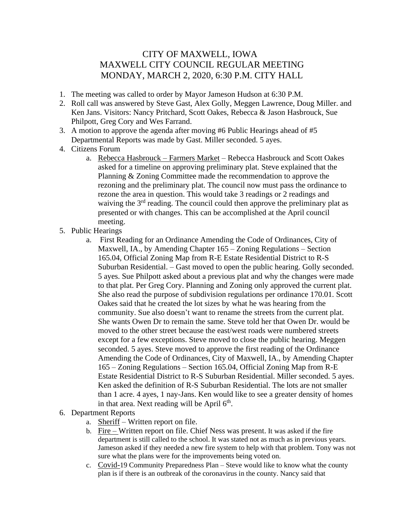## CITY OF MAXWELL, IOWA MAXWELL CITY COUNCIL REGULAR MEETING MONDAY, MARCH 2, 2020, 6:30 P.M. CITY HALL

- 1. The meeting was called to order by Mayor Jameson Hudson at 6:30 P.M.
- 2. Roll call was answered by Steve Gast, Alex Golly, Meggen Lawrence, Doug Miller. and Ken Jans. Visitors: Nancy Pritchard, Scott Oakes, Rebecca & Jason Hasbrouck, Sue Philpott, Greg Cory and Wes Farrand.
- 3. A motion to approve the agenda after moving #6 Public Hearings ahead of #5 Departmental Reports was made by Gast. Miller seconded. 5 ayes.
- 4. Citizens Forum
	- a. Rebecca Hasbrouck Farmers Market Rebecca Hasbrouck and Scott Oakes asked for a timeline on approving preliminary plat. Steve explained that the Planning & Zoning Committee made the recommendation to approve the rezoning and the preliminary plat. The council now must pass the ordinance to rezone the area in question. This would take 3 readings or 2 readings and waiving the  $3<sup>rd</sup>$  reading. The council could then approve the preliminary plat as presented or with changes. This can be accomplished at the April council meeting.
- 5. Public Hearings
	- a. First Reading for an Ordinance Amending the Code of Ordinances, City of Maxwell, IA., by Amending Chapter 165 – Zoning Regulations – Section 165.04, Official Zoning Map from R-E Estate Residential District to R-S Suburban Residential. – Gast moved to open the public hearing. Golly seconded. 5 ayes. Sue Philpott asked about a previous plat and why the changes were made to that plat. Per Greg Cory. Planning and Zoning only approved the current plat. She also read the purpose of subdivision regulations per ordinance 170.01. Scott Oakes said that he created the lot sizes by what he was hearing from the community. Sue also doesn't want to rename the streets from the current plat. She wants Owen Dr to remain the same. Steve told her that Owen Dr. would be moved to the other street because the east/west roads were numbered streets except for a few exceptions. Steve moved to close the public hearing. Meggen seconded. 5 ayes. Steve moved to approve the first reading of the Ordinance Amending the Code of Ordinances, City of Maxwell, IA., by Amending Chapter 165 – Zoning Regulations – Section 165.04, Official Zoning Map from R-E Estate Residential District to R-S Suburban Residential. Miller seconded. 5 ayes. Ken asked the definition of R-S Suburban Residential. The lots are not smaller than 1 acre. 4 ayes, 1 nay-Jans. Ken would like to see a greater density of homes in that area. Next reading will be April  $6<sup>th</sup>$ .
- 6. Department Reports
	- a. Sheriff Written report on file.
	- b. Fire Written report on file. Chief Ness was present. It was asked if the fire department is still called to the school. It was stated not as much as in previous years. Jameson asked if they needed a new fire system to help with that problem. Tony was not sure what the plans were for the improvements being voted on.
	- c. Covid-19 Community Preparedness Plan Steve would like to know what the county plan is if there is an outbreak of the coronavirus in the county. Nancy said that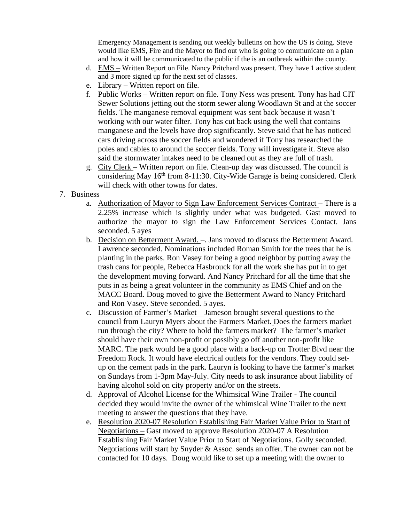Emergency Management is sending out weekly bulletins on how the US is doing. Steve would like EMS, Fire and the Mayor to find out who is going to communicate on a plan and how it will be communicated to the public if the is an outbreak within the county.

- d. EMS Written Report on File. Nancy Pritchard was present. They have 1 active student and 3 more signed up for the next set of classes.
- e. Library Written report on file.
- f. Public Works Written report on file. Tony Ness was present. Tony has had CIT Sewer Solutions jetting out the storm sewer along Woodlawn St and at the soccer fields. The manganese removal equipment was sent back because it wasn't working with our water filter. Tony has cut back using the well that contains manganese and the levels have drop significantly. Steve said that he has noticed cars driving across the soccer fields and wondered if Tony has researched the poles and cables to around the soccer fields. Tony will investigate it. Steve also said the stormwater intakes need to be cleaned out as they are full of trash.
- g. City Clerk Written report on file. Clean-up day was discussed. The council is considering May  $16<sup>th</sup>$  from 8-11:30. City-Wide Garage is being considered. Clerk will check with other towns for dates.
- 7. Business
	- a. Authorization of Mayor to Sign Law Enforcement Services Contract There is a 2.25% increase which is slightly under what was budgeted. Gast moved to authorize the mayor to sign the Law Enforcement Services Contact. Jans seconded. 5 ayes
	- b. Decision on Betterment Award. –. Jans moved to discuss the Betterment Award. Lawrence seconded. Nominations included Roman Smith for the trees that he is planting in the parks. Ron Vasey for being a good neighbor by putting away the trash cans for people, Rebecca Hasbrouck for all the work she has put in to get the development moving forward. And Nancy Pritchard for all the time that she puts in as being a great volunteer in the community as EMS Chief and on the MACC Board. Doug moved to give the Betterment Award to Nancy Pritchard and Ron Vasey. Steve seconded. 5 ayes.
	- c. Discussion of Farmer's Market Jameson brought several questions to the council from Lauryn Myers about the Farmers Market. Does the farmers market run through the city? Where to hold the farmers market? The farmer's market should have their own non-profit or possibly go off another non-profit like MARC. The park would be a good place with a back-up on Trotter Blvd near the Freedom Rock. It would have electrical outlets for the vendors. They could setup on the cement pads in the park. Lauryn is looking to have the farmer's market on Sundays from 1-3pm May-July. City needs to ask insurance about liability of having alcohol sold on city property and/or on the streets.
	- d. Approval of Alcohol License for the Whimsical Wine Trailer The council decided they would invite the owner of the whimsical Wine Trailer to the next meeting to answer the questions that they have.
	- e. Resolution 2020-07 Resolution Establishing Fair Market Value Prior to Start of Negotiations – Gast moved to approve Resolution 2020-07 A Resolution Establishing Fair Market Value Prior to Start of Negotiations. Golly seconded. Negotiations will start by Snyder & Assoc. sends an offer. The owner can not be contacted for 10 days. Doug would like to set up a meeting with the owner to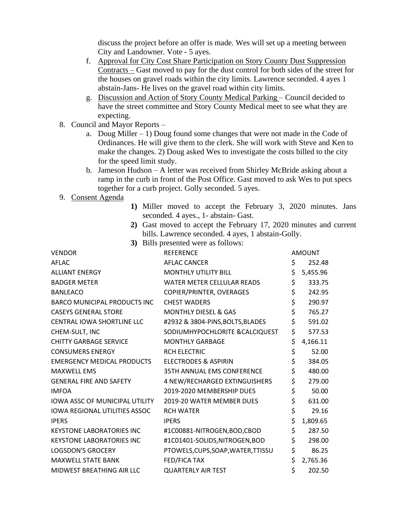discuss the project before an offer is made. Wes will set up a meeting between City and Landowner. Vote - 5 ayes.

- f. Approval for City Cost Share Participation on Story County Dust Suppression Contracts – Gast moved to pay for the dust control for both sides of the street for the houses on gravel roads within the city limits. Lawrence seconded. 4 ayes 1 abstain-Jans- He lives on the gravel road within city limits.
- g. Discussion and Action of Story County Medical Parking Council decided to have the street committee and Story County Medical meet to see what they are expecting.
- 8. Council and Mayor Reports
	- a. Doug Miller  $-1$ ) Doug found some changes that were not made in the Code of Ordinances. He will give them to the clerk. She will work with Steve and Ken to make the changes. 2) Doug asked Wes to investigate the costs billed to the city for the speed limit study.
	- b. Jameson Hudson A letter was received from Shirley McBride asking about a ramp in the curb in front of the Post Office. Gast moved to ask Wes to put specs together for a curb project. Golly seconded. 5 ayes.
- 9. Consent Agenda
- **1)** Miller moved to accept the February 3, 2020 minutes. Jans seconded. 4 ayes., 1- abstain- Gast.
- **2)** Gast moved to accept the February 17, 2020 minutes and current bills. Lawrence seconded. 4 ayes, 1 abstain-Golly.
- **3)** Bills presented were as follows:

| <b>VENDOR</b>                         | <b>REFERENCE</b>                   | <b>AMOUNT</b>  |
|---------------------------------------|------------------------------------|----------------|
| <b>AFLAC</b>                          | <b>AFLAC CANCER</b>                | \$<br>252.48   |
| <b>ALLIANT ENERGY</b>                 | <b>MONTHLY UTILITY BILL</b>        | \$<br>5,455.96 |
| <b>BADGER METER</b>                   | WATER METER CELLULAR READS         | \$<br>333.75   |
| <b>BANLEACO</b>                       | COPIER/PRINTER, OVERAGES           | \$<br>242.95   |
| <b>BARCO MUNICIPAL PRODUCTS INC</b>   | <b>CHEST WADERS</b>                | \$<br>290.97   |
| <b>CASEYS GENERAL STORE</b>           | <b>MONTHLY DIESEL &amp; GAS</b>    | \$<br>765.27   |
| <b>CENTRAL IOWA SHORTLINE LLC</b>     | #2932 & 3804-PINS, BOLTS, BLADES   | \$<br>591.02   |
| CHEM-SULT, INC                        | SODIUMHYPOCHLORITE & CALCIQUEST    | \$<br>577.53   |
| <b>CHITTY GARBAGE SERVICE</b>         | <b>MONTHLY GARBAGE</b>             | \$<br>4,166.11 |
| <b>CONSUMERS ENERGY</b>               | <b>RCH ELECTRIC</b>                | \$<br>52.00    |
| <b>EMERGENCY MEDICAL PRODUCTS</b>     | ELECTRODES & ASPIRIN               | \$<br>384.05   |
| <b>MAXWELL EMS</b>                    | 35TH ANNUAL EMS CONFERENCE         | \$<br>480.00   |
| <b>GENERAL FIRE AND SAFETY</b>        | 4 NEW/RECHARGED EXTINGUISHERS      | \$<br>279.00   |
| <b>IMFOA</b>                          | 2019-2020 MEMBERSHIP DUES          | \$<br>50.00    |
| <b>IOWA ASSC OF MUNICIPAL UTILITY</b> | 2019-20 WATER MEMBER DUES          | \$<br>631.00   |
| <b>IOWA REGIONAL UTILITIES ASSOC</b>  | <b>RCH WATER</b>                   | \$<br>29.16    |
| <b>IPERS</b>                          | <b>IPERS</b>                       | \$<br>1,809.65 |
| <b>KEYSTONE LABORATORIES INC</b>      | #1C00881-NITROGEN, BOD, CBOD       | \$<br>287.50   |
| <b>KEYSTONE LABORATORIES INC</b>      | #1C01401-SOLIDS,NITROGEN,BOD       | \$<br>298.00   |
| <b>LOGSDON'S GROCERY</b>              | PTOWELS, CUPS, SOAP, WATER, TTISSU | \$<br>86.25    |
| <b>MAXWELL STATE BANK</b>             | FED/FICA TAX                       | \$<br>2,765.36 |
| MIDWEST BREATHING AIR LLC             | <b>QUARTERLY AIR TEST</b>          | \$<br>202.50   |